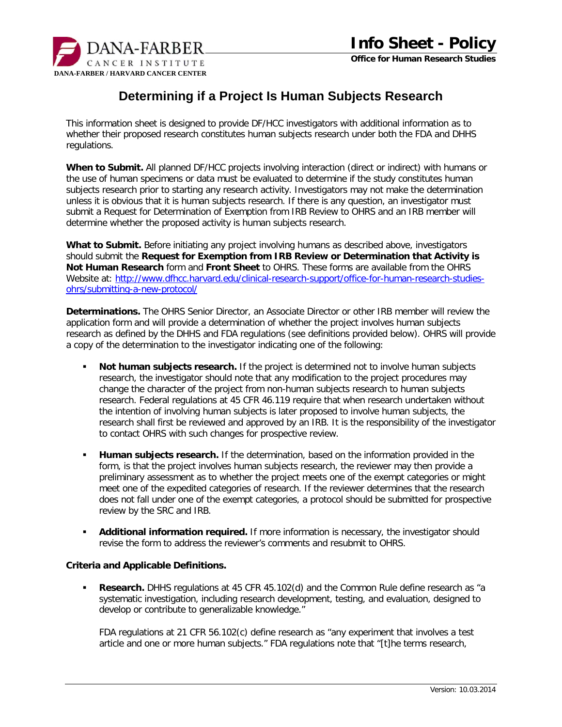

## **Determining if a Project Is Human Subjects Research**

This information sheet is designed to provide DF/HCC investigators with additional information as to whether their proposed research constitutes human subjects research under both the FDA and DHHS regulations.

**When to Submit.** All planned DF/HCC projects involving interaction (direct or indirect) with humans or the use of human specimens or data must be evaluated to determine if the study constitutes human subjects research prior to starting any research activity. Investigators may not make the determination unless it is obvious that it is human subjects research. If there is any question, an investigator must submit a Request for Determination of Exemption from IRB Review to OHRS and an IRB member will determine whether the proposed activity is human subjects research.

**What to Submit.** Before initiating any project involving humans as described above, investigators should submit the **Request for Exemption from IRB Review or Determination that Activity is Not Human Research** form and **Front Sheet** to OHRS. These forms are available from the OHRS Website at: [http://www.dfhcc.harvard.edu/clinical-research-support/office-for-human-research-studies](http://www.dfhcc.harvard.edu/clinical-research-support/office-for-human-research-studies-ohrs/submitting-a-new-protocol/)[ohrs/submitting-a-new-protocol/](http://www.dfhcc.harvard.edu/clinical-research-support/office-for-human-research-studies-ohrs/submitting-a-new-protocol/)

**Determinations.** The OHRS Senior Director, an Associate Director or other IRB member will review the application form and will provide a determination of whether the project involves human subjects research as defined by the DHHS and FDA regulations (see definitions provided below). OHRS will provide a copy of the determination to the investigator indicating one of the following:

- **Not human subjects research.** If the project is determined not to involve human subjects research, the investigator should note that any modification to the project procedures may change the character of the project from non-human subjects research to human subjects research. Federal regulations at 45 CFR 46.119 require that when research undertaken without the intention of involving human subjects is later proposed to involve human subjects, the research shall first be reviewed and approved by an IRB. It is the responsibility of the investigator to contact OHRS with such changes for prospective review.
- **Human subjects research.** If the determination, based on the information provided in the form, is that the project involves human subjects research, the reviewer may then provide a preliminary assessment as to whether the project meets one of the exempt categories or might meet one of the expedited categories of research. If the reviewer determines that the research does not fall under one of the exempt categories, a protocol should be submitted for prospective review by the SRC and IRB.
- **Additional information required.** If more information is necessary, the investigator should revise the form to address the reviewer's comments and resubmit to OHRS.

## **Criteria and Applicable Definitions.**

**Research.** DHHS regulations at 45 CFR 45.102(d) and the Common Rule define research as "a systematic investigation, including research development, testing, and evaluation, designed to develop or contribute to generalizable knowledge."

FDA regulations at 21 CFR 56.102(c) define research as "any experiment that involves a test article and one or more human subjects." FDA regulations note that "[t]he terms research,